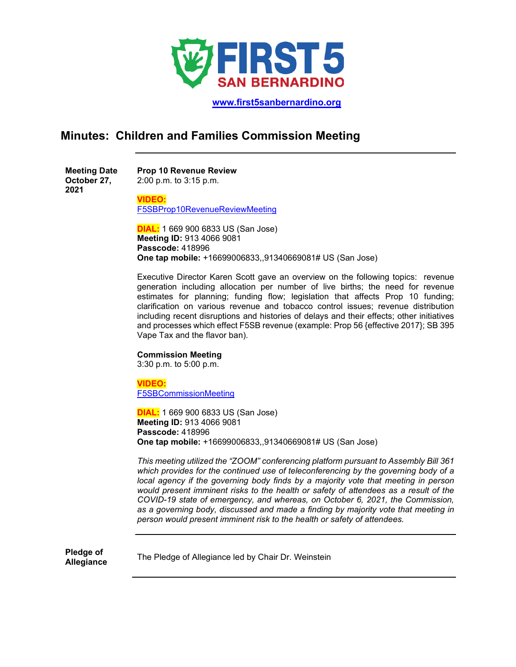

 **[www.first5sanbernardino.org](http://www.first5sanbernardino.org/)**

## **Minutes: Children and Families Commission Meeting**

| <b>Meeting Date</b> | <b>Prop 10 Revenue Review</b> |
|---------------------|-------------------------------|
| October 27,         | $2:00$ p.m. to $3:15$ p.m.    |
| 2021                |                               |

**VIDEO:**

[F5SBProp10RevenueReviewMeeting](https://sbcounty.zoom.us/j/91340669081?pwd=bmlFU2ZzMnVxL3NwdVpVbzRmNWtMdz09)

**DIAL:** 1 669 900 6833 US (San Jose) **Meeting ID:** 913 4066 9081 **Passcode:** 418996 **One tap mobile:** +16699006833,,91340669081# US (San Jose)

Executive Director Karen Scott gave an overview on the following topics: revenue generation including allocation per number of live births; the need for revenue estimates for planning; funding flow; legislation that affects Prop 10 funding; clarification on various revenue and tobacco control issues; revenue distribution including recent disruptions and histories of delays and their effects; other initiatives and processes which effect F5SB revenue (example: Prop 56 {effective 2017}; SB 395 Vape Tax and the flavor ban).

## **Commission Meeting**

3:30 p.m. to 5:00 p.m.

**VIDEO:** [F5SBCommissionMeeting](https://sbcounty.zoom.us/j/91340669081?pwd=bmlFU2ZzMnVxL3NwdVpVbzRmNWtMdz09)

**DIAL:** 1 669 900 6833 US (San Jose) **Meeting ID:** 913 4066 9081 **Passcode:** 418996 **One tap mobile:** +16699006833,,91340669081# US (San Jose)

*This meeting utilized the "ZOOM" conferencing platform pursuant to Assembly Bill 361 which provides for the continued use of teleconferencing by the governing body of a local agency if the governing body finds by a majority vote that meeting in person would present imminent risks to the health or safety of attendees as a result of the COVID-19 state of emergency, and whereas, on October 6, 2021, the Commission, as a governing body, discussed and made a finding by majority vote that meeting in person would present imminent risk to the health or safety of attendees.*

**Pledge of** 

**Allegiance** The Pledge of Allegiance led by Chair Dr. Weinstein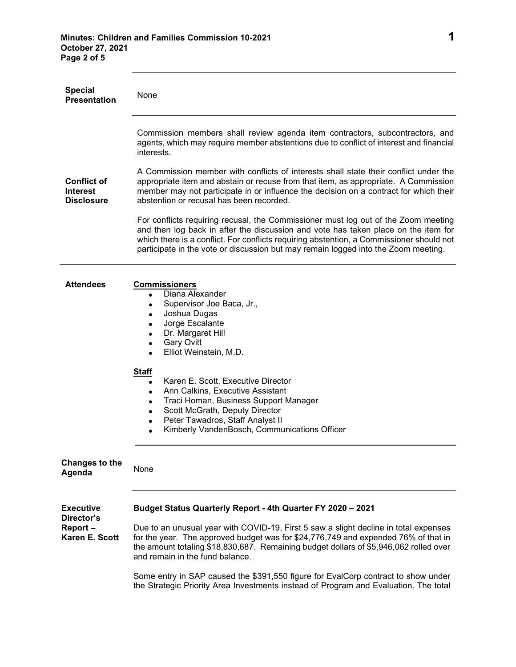| <b>Special</b><br><b>Presentation</b>                       | None                                                                                                                                                                                                                                                                                                                                                                                                                                                       |
|-------------------------------------------------------------|------------------------------------------------------------------------------------------------------------------------------------------------------------------------------------------------------------------------------------------------------------------------------------------------------------------------------------------------------------------------------------------------------------------------------------------------------------|
| <b>Conflict of</b>                                          | Commission members shall review agenda item contractors, subcontractors, and<br>agents, which may require member abstentions due to conflict of interest and financial<br>interests.<br>A Commission member with conflicts of interests shall state their conflict under the<br>appropriate item and abstain or recuse from that item, as appropriate. A Commission                                                                                        |
| <b>Interest</b><br><b>Disclosure</b>                        | member may not participate in or influence the decision on a contract for which their<br>abstention or recusal has been recorded.                                                                                                                                                                                                                                                                                                                          |
|                                                             | For conflicts requiring recusal, the Commissioner must log out of the Zoom meeting<br>and then log back in after the discussion and vote has taken place on the item for<br>which there is a conflict. For conflicts requiring abstention, a Commissioner should not<br>participate in the vote or discussion but may remain logged into the Zoom meeting.                                                                                                 |
| <b>Attendees</b>                                            | <b>Commissioners</b><br>Diana Alexander<br>$\bullet$<br>Supervisor Joe Baca, Jr.,<br>$\bullet$<br>Joshua Dugas<br>$\bullet$<br>Jorge Escalante<br>$\bullet$<br>Dr. Margaret Hill<br>$\bullet$<br><b>Gary Ovitt</b><br>$\bullet$<br>Elliot Weinstein, M.D.<br>$\bullet$                                                                                                                                                                                     |
|                                                             | <b>Staff</b><br>Karen E. Scott, Executive Director<br>$\bullet$<br>Ann Calkins, Executive Assistant<br>$\bullet$<br>Traci Homan, Business Support Manager<br>$\bullet$<br>Scott McGrath, Deputy Director<br>$\bullet$<br>Peter Tawadros, Staff Analyst II<br>Kimberly VandenBosch, Communications Officer                                                                                                                                                  |
| <b>Changes to the</b><br>Agenda                             | None                                                                                                                                                                                                                                                                                                                                                                                                                                                       |
| <b>Executive</b><br>Director's<br>Report-<br>Karen E. Scott | Budget Status Quarterly Report - 4th Quarter FY 2020 - 2021<br>Due to an unusual year with COVID-19, First 5 saw a slight decline in total expenses<br>for the year. The approved budget was for \$24,776,749 and expended 76% of that in<br>the amount totaling \$18,830,687. Remaining budget dollars of \$5,946,062 rolled over<br>and remain in the fund balance.<br>Some entry in SAP caused the \$391,550 figure for EvalCorp contract to show under |
|                                                             | the Strategic Priority Area Investments instead of Program and Evaluation. The total                                                                                                                                                                                                                                                                                                                                                                       |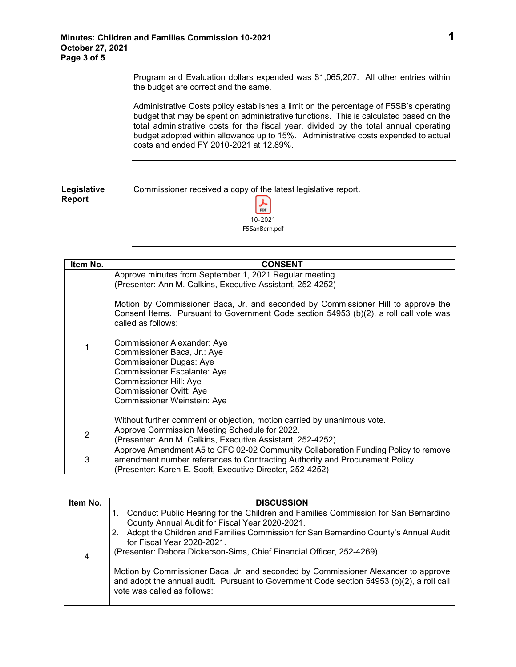Program and Evaluation dollars expended was \$1,065,207. All other entries within the budget are correct and the same.

Administrative Costs policy establishes a limit on the percentage of F5SB's operating budget that may be spent on administrative functions. This is calculated based on the total administrative costs for the fiscal year, divided by the total annual operating budget adopted within allowance up to 15%. Administrative costs expended to actual costs and ended FY 2010-2021 at 12.89%.

| Legislative | Commissioner received a copy of the latest legislative report. |
|-------------|----------------------------------------------------------------|
| Report      | $\frac{1}{\text{PDF}}$                                         |

10-2021 F5SanBern.pdf

| Item No.       | <b>CONSENT</b>                                                                                                                                                                                                                                                                                                                                                                                                                                                                                                                                                                                                                               |
|----------------|----------------------------------------------------------------------------------------------------------------------------------------------------------------------------------------------------------------------------------------------------------------------------------------------------------------------------------------------------------------------------------------------------------------------------------------------------------------------------------------------------------------------------------------------------------------------------------------------------------------------------------------------|
| 1              | Approve minutes from September 1, 2021 Regular meeting.<br>(Presenter: Ann M. Calkins, Executive Assistant, 252-4252)<br>Motion by Commissioner Baca, Jr. and seconded by Commissioner Hill to approve the<br>Consent Items. Pursuant to Government Code section 54953 (b)(2), a roll call vote was<br>called as follows:<br>Commissioner Alexander: Aye<br>Commissioner Baca, Jr.: Aye<br><b>Commissioner Dugas: Aye</b><br><b>Commissioner Escalante: Aye</b><br><b>Commissioner Hill: Aye</b><br><b>Commissioner Ovitt: Aye</b><br>Commissioner Weinstein: Aye<br>Without further comment or objection, motion carried by unanimous vote. |
|                | Approve Commission Meeting Schedule for 2022.                                                                                                                                                                                                                                                                                                                                                                                                                                                                                                                                                                                                |
| $\overline{2}$ | (Presenter: Ann M. Calkins, Executive Assistant, 252-4252)                                                                                                                                                                                                                                                                                                                                                                                                                                                                                                                                                                                   |
| 3              | Approve Amendment A5 to CFC 02-02 Community Collaboration Funding Policy to remove<br>amendment number references to Contracting Authority and Procurement Policy.<br>(Presenter: Karen E. Scott, Executive Director, 252-4252)                                                                                                                                                                                                                                                                                                                                                                                                              |

| Item No. | <b>DISCUSSION</b>                                                                                                                                                                                                                                                                                                                                                                                                              |
|----------|--------------------------------------------------------------------------------------------------------------------------------------------------------------------------------------------------------------------------------------------------------------------------------------------------------------------------------------------------------------------------------------------------------------------------------|
| 4        | 1. Conduct Public Hearing for the Children and Families Commission for San Bernardino<br>County Annual Audit for Fiscal Year 2020-2021.<br>2. Adopt the Children and Families Commission for San Bernardino County's Annual Audit<br>for Fiscal Year 2020-2021.<br>(Presenter: Debora Dickerson-Sims, Chief Financial Officer, 252-4269)<br>Motion by Commissioner Baca, Jr. and seconded by Commissioner Alexander to approve |
|          | and adopt the annual audit. Pursuant to Government Code section 54953 (b)(2), a roll call<br>vote was called as follows:                                                                                                                                                                                                                                                                                                       |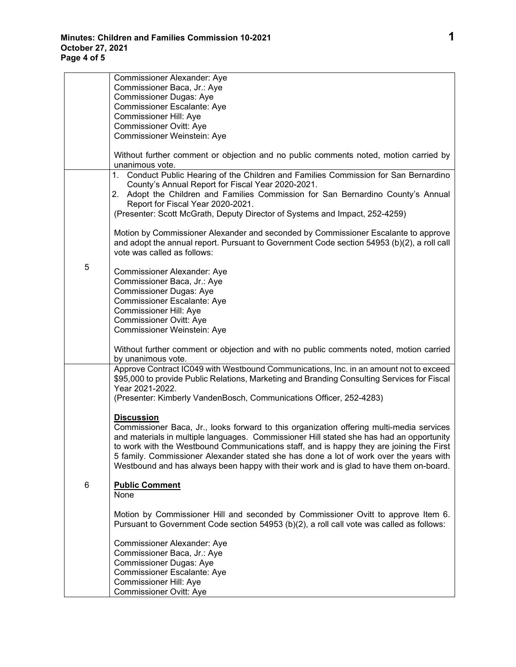|   | Commissioner Alexander: Aye                                                                                                                                                      |
|---|----------------------------------------------------------------------------------------------------------------------------------------------------------------------------------|
|   | Commissioner Baca, Jr.: Aye                                                                                                                                                      |
|   | <b>Commissioner Dugas: Aye</b>                                                                                                                                                   |
|   | <b>Commissioner Escalante: Aye</b>                                                                                                                                               |
|   | Commissioner Hill: Aye                                                                                                                                                           |
|   | Commissioner Ovitt: Aye                                                                                                                                                          |
|   | Commissioner Weinstein: Aye                                                                                                                                                      |
|   | Without further comment or objection and no public comments noted, motion carried by<br>unanimous vote.                                                                          |
|   | Conduct Public Hearing of the Children and Families Commission for San Bernardino<br>1.                                                                                          |
|   | County's Annual Report for Fiscal Year 2020-2021.                                                                                                                                |
|   | 2. Adopt the Children and Families Commission for San Bernardino County's Annual<br>Report for Fiscal Year 2020-2021.                                                            |
|   | (Presenter: Scott McGrath, Deputy Director of Systems and Impact, 252-4259)                                                                                                      |
|   |                                                                                                                                                                                  |
|   | Motion by Commissioner Alexander and seconded by Commissioner Escalante to approve                                                                                               |
|   | and adopt the annual report. Pursuant to Government Code section 54953 (b)(2), a roll call<br>vote was called as follows:                                                        |
| 5 | Commissioner Alexander: Aye                                                                                                                                                      |
|   | Commissioner Baca, Jr.: Aye                                                                                                                                                      |
|   | <b>Commissioner Dugas: Aye</b>                                                                                                                                                   |
|   | <b>Commissioner Escalante: Aye</b>                                                                                                                                               |
|   | Commissioner Hill: Aye                                                                                                                                                           |
|   | <b>Commissioner Ovitt: Aye</b>                                                                                                                                                   |
|   | Commissioner Weinstein: Aye                                                                                                                                                      |
|   | Without further comment or objection and with no public comments noted, motion carried                                                                                           |
|   | by unanimous vote.                                                                                                                                                               |
|   | Approve Contract IC049 with Westbound Communications, Inc. in an amount not to exceed                                                                                            |
|   | \$95,000 to provide Public Relations, Marketing and Branding Consulting Services for Fiscal<br>Year 2021-2022.                                                                   |
|   | (Presenter: Kimberly VandenBosch, Communications Officer, 252-4283)                                                                                                              |
|   |                                                                                                                                                                                  |
|   | <b>Discussion</b>                                                                                                                                                                |
|   | Commissioner Baca, Jr., looks forward to this organization offering multi-media services                                                                                         |
|   | and materials in multiple languages. Commissioner Hill stated she has had an opportunity                                                                                         |
|   | to work with the Westbound Communications staff, and is happy they are joining the First                                                                                         |
|   | 5 family. Commissioner Alexander stated she has done a lot of work over the years with<br>Westbound and has always been happy with their work and is glad to have them on-board. |
|   |                                                                                                                                                                                  |
| 6 | <b>Public Comment</b>                                                                                                                                                            |
|   | None                                                                                                                                                                             |
|   | Motion by Commissioner Hill and seconded by Commissioner Ovitt to approve Item 6.                                                                                                |
|   | Pursuant to Government Code section 54953 (b)(2), a roll call vote was called as follows:                                                                                        |
|   |                                                                                                                                                                                  |
|   | Commissioner Alexander: Aye                                                                                                                                                      |
|   | Commissioner Baca, Jr.: Aye                                                                                                                                                      |
|   | <b>Commissioner Dugas: Aye</b>                                                                                                                                                   |
|   | Commissioner Escalante: Aye                                                                                                                                                      |
|   | Commissioner Hill: Aye                                                                                                                                                           |
|   | Commissioner Ovitt: Aye                                                                                                                                                          |